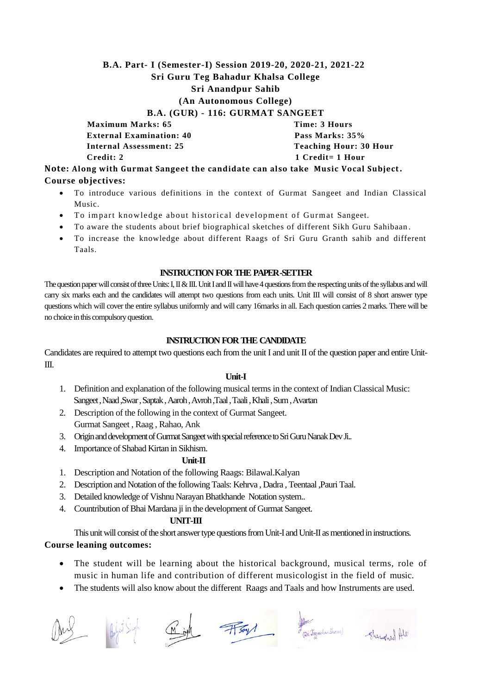# **B.A. Part- I (Semester-I) Session 2019-20, 2020-21, 2021-22 Sri Guru Teg Bahadur Khalsa College Sri Anandpur Sahib (An Autonomous College) B.A. (GUR) - 116: GURMAT SANGEET**

**Maximum Marks: 65** Time: 3 Hours **External Examination: 40** Pass Marks: 35% **Internal Assessment: 25 Teaching Hour: 30 Hour Credit: 2** 1 Credit= 1 Hour

**Note: Along with Gurmat Sangeet the candidate can also take Music Vocal Subject. Course objectives:**

- To introduce various definitions in the context of Gurmat Sangeet and Indian Classical Music.
- To impart knowledge about historical development of Gurmat Sangeet.
- To aware the students about brief biographical sketches of different Sikh Guru Sahibaan .
- To increase the knowledge about different Raags of Sri Guru Granth sahib and different Taals.

#### **INSTRUCTION FOR THE PAPER -SETTER**

The question paper will consist of three Units: I, II & III. Unit I and II will have 4 questions from the respecting units of the syllabus and will carry six marks each and the candidates will attempt two questions from each units. Unit III will consist of 8 short answer type questions which will cover the entire syllabus uniformly and will carry 16marks in all. Each question carries 2 marks. There will be no choice in this compulsory question.

#### **INSTRUCTION FOR THE CANDIDATE**

Candidates are required to attempt two questions each from the unit I and unit II of the question paper and entire Unit-III.

#### **Unit-I**

- 1. Definition and explanation of the following musical terms in the context of Indian Classical Music: Sangeet , Naad ,Swar , Saptak , Aaroh , Avroh ,Taal , Taali , Khali , Sum , Avartan
- 2. Description of the following in the context of Gurmat Sangeet. Gurmat Sangeet , Raag , Rahao, Ank
- 3. Origin and development of Gurmat Sangeet with special reference to Sri Guru Nanak Dev Ji..

#### 4. Importance of Shabad Kirtan in Sikhism.

#### **Unit-II**

- 1. Description and Notation of the following Raags: Bilawal.Kalyan
- 2. Description and Notation of the following Taals: Kehrva , Dadra , Teentaal ,Pauri Taal.
- 3. Detailed knowledge of Vishnu Narayan Bhatkhande Notation system..
- 4. Countribution of Bhai Mardana ji in the development of Gurmat Sangeet.

#### **UNIT-III**

This unit will consist of the short answer type questions from Unit-I and Unit-II as mentioned in instructions. **Course leaning outcomes:**

- The student will be learning about the historical background, musical terms, role of music in human life and contribution of different musicologist in the field of music.
- The students will also know about the different Raags and Taals and how Instruments are used.









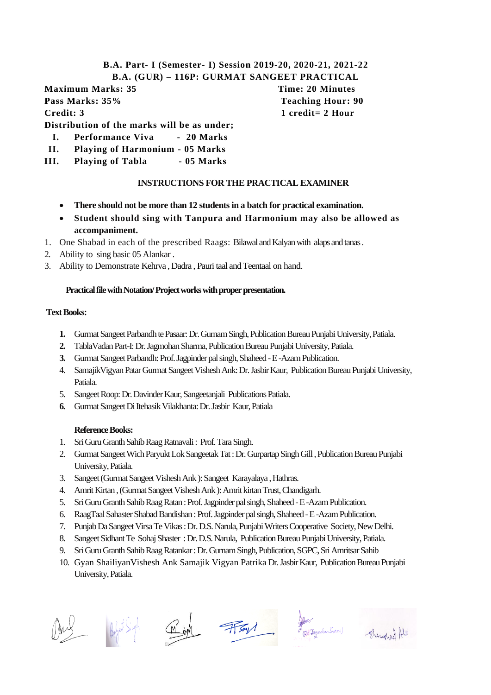## **B.A. Part- I (Semester- I) Session 2019-20, 2020-21, 2021-22 B.A. (GUR) – 116P: GURMAT SANGEET PRACTICAL**

**Maximum Marks: 35 Time: 20 Minutes Pass Marks: 35% Teaching Hour: 90 Credit: 3 1 credit= 2 Hour**

**Distribution of the marks will be as under;**

- **I. Performance Viva 20 Marks**
- **II. Playing of Harmonium - 05 Marks**
- **III. Playing of Tabla - 05 Marks**

# **INSTRUCTIONS FOR THE PRACTICAL EXAMINER**

- **There should not be more than 12 students in a batch for practical examination.**
- **Student should sing with Tanpura and Harmonium may also be allowed as accompaniment.**
- 1. One Shabad in each of the prescribed Raags: Bilawal and Kalyanwith alaps and tanas .
- 2. Ability to sing basic 05 Alankar .
- 3. Ability to Demonstrate Kehrva , Dadra , Pauri taal and Teentaal on hand.

# **Practical file with Notation/ Project works with proper presentation.**

# **Text Books:**

- **1.** Gurmat Sangeet Parbandh te Pasaar: Dr. Gurnam Singh, Publication Bureau Punjabi University, Patiala.
- **2.** TablaVadan Part-I: Dr. Jagmohan Sharma, Publication Bureau Punjabi University, Patiala.
- **3.** Gurmat Sangeet Parbandh: Prof. Jagpinder pal singh, Shaheed -E -Azam Publication.
- 4. SamajikVigyan Patar Gurmat Sangeet Vishesh Ank: Dr. Jasbir Kaur, Publication Bureau Punjabi University, Patiala.
- 5. Sangeet Roop: Dr. Davinder Kaur, Sangeetanjali Publications Patiala.
- **6.** Gurmat Sangeet Di Itehasik Vilakhanta: Dr. Jasbir Kaur, Patiala

# **Reference Books:**

- 1. Sri Guru Granth Sahib Raag Ratnavali : Prof. Tara Singh.
- 2. Gurmat Sangeet Wich Paryukt Lok Sangeetak Tat : Dr. GurpartapSingh Gill , Publication Bureau Punjabi University, Patiala.
- 3. Sangeet (Gurmat Sangeet Vishesh Ank ): Sangeet Karayalaya , Hathras.
- 4. Amrit Kirtan , (Gurmat Sangeet Vishesh Ank ): Amrit kirtan Trust, Chandigarh.
- 5. Sri Guru Granth Sahib Raag Ratan : Prof. Jagpinder pal singh, Shaheed -E -Azam Publication.
- 6. RaagTaal Sahaster Shabad Bandishan : Prof. Jagpinder pal singh, Shaheed -E -Azam Publication.
- 7. Punjab Da Sangeet Virsa Te Vikas : Dr. D.S. Narula, Punjabi Writers Cooperative Society, New Delhi.
- 8. Sangeet Sidhant Te Sohaj Shaster : Dr. D.S. Narula, Publication Bureau Punjabi University, Patiala.
- 9. Sri Guru Granth Sahib Raag Ratankar : Dr. Gurnam Singh, Publication, SGPC, Sri Amritsar Sahib
- 10. Gyan ShailiyanVishesh Ank Samajik Vigyan Patrika Dr. JasbirKaur, Publication Bureau Punjabi University, Patiala.









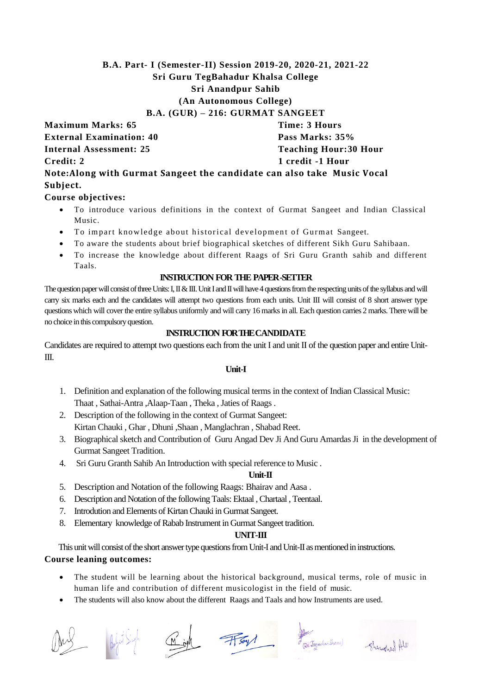# **B.A. Part- I (Semester-II) Session 2019-20, 2020-21, 2021-22 Sri Guru TegBahadur Khalsa College Sri Anandpur Sahib (An Autonomous College) B.A. (GUR) – 216: GURMAT SANGEET**

**Maximum Marks: 65 Time: 3 Hours External Examination: 40 Pass Marks: 35% Internal Assessment: 25 Teaching Hour: 30 Hour Credit: 2** 1 credit -1 Hour

**Note:Along with Gurmat Sangeet the candidate can also take Music Vocal Subject.**

# **Course objectives:**

- To introduce various definitions in the context of Gurmat Sangeet and Indian Classical Music.
- To impart knowledge about historical development of Gurmat Sangeet.
- To aware the students about brief biographical sketches of different Sikh Guru Sahibaan.
- To increase the knowledge about different Raags of Sri Guru Granth sahib and different Taals.

# **INSTRUCTION FOR THE PAPER -SETTER**

The question paper will consist of three Units: I, II & III. Unit I and II will have 4 questions from the respecting units of the syllabus and will carry six marks each and the candidates will attempt two questions from each units. Unit III will consist of 8 short answer type questions which will cover the entire syllabus uniformly and will carry 16 marks in all. Each question carries 2 marks. There will be no choice in this compulsory question.

# **INSTRUCTION FOR THECANDIDATE**

Candidates are required to attempt two questions each from the unit I and unit II of the question paper and entire Unit-III.

#### **Unit-I**

- 1. Definition and explanation of the following musical terms in the context of Indian Classical Music: Thaat , Sathai-Antra ,Alaap-Taan , Theka , Jaties of Raags .
- 2. Description of the following in the context of Gurmat Sangeet: Kirtan Chauki , Ghar , Dhuni ,Shaan , Manglachran , Shabad Reet.
- 3. Biographical sketch and Contribution of Guru Angad Dev Ji And Guru Amardas Ji in the development of Gurmat Sangeet Tradition.
- 4. Sri Guru Granth Sahib An Introduction with special reference to Music .

# **Unit-II**

- 5. Description and Notation of the following Raags: Bhairav and Aasa .
- 6. Description and Notation of the following Taals: Ektaal , Chartaal , Teentaal.
- 7. Introdution and Elements of Kirtan Chauki in Gurmat Sangeet.
- 8. Elementary knowledge of Rabab Instrument in Gurmat Sangeet tradition.

# **UNIT-III**

This unit will consist of the short answer type questions from Unit-I and Unit-II as mentioned in instructions.

# **Course leaning outcomes:**

- The student will be learning about the historical background, musical terms, role of music in human life and contribution of different musicologist in the field of music.
- The students will also know about the different Raags and Taals and how Instruments are used.





 $\underbrace{M\oplus M}_{\text{min}}$